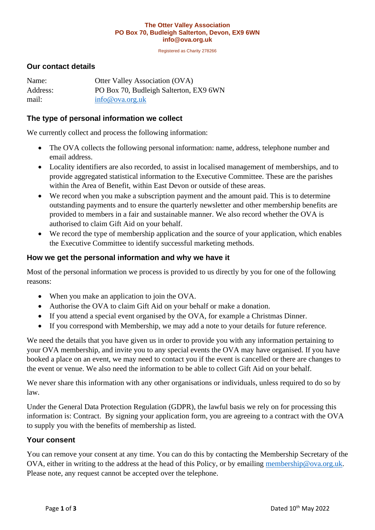#### **The Otter Valley Association PO Box 70, Budleigh Salterton, Devon, EX9 6WN info@ova.org.uk**

Registered as Charity 278266

#### **Our contact details**

| Name:    | <b>Otter Valley Association (OVA)</b>  |
|----------|----------------------------------------|
| Address: | PO Box 70, Budleigh Salterton, EX9 6WN |
| mail:    | info@ova.org.uk                        |

#### **The type of personal information we collect**

We currently collect and process the following information:

- The OVA collects the following personal information: name, address, telephone number and email address.
- Locality identifiers are also recorded, to assist in localised management of memberships, and to provide aggregated statistical information to the Executive Committee. These are the parishes within the Area of Benefit, within East Devon or outside of these areas.
- We record when you make a subscription payment and the amount paid. This is to determine outstanding payments and to ensure the quarterly newsletter and other membership benefits are provided to members in a fair and sustainable manner. We also record whether the OVA is authorised to claim Gift Aid on your behalf.
- We record the type of membership application and the source of your application, which enables the Executive Committee to identify successful marketing methods.

#### **How we get the personal information and why we have it**

Most of the personal information we process is provided to us directly by you for one of the following reasons:

- When you make an application to join the OVA.
- Authorise the OVA to claim Gift Aid on your behalf or make a donation.
- If you attend a special event organised by the OVA, for example a Christmas Dinner.
- If you correspond with Membership, we may add a note to your details for future reference.

We need the details that you have given us in order to provide you with any information pertaining to your OVA membership, and invite you to any special events the OVA may have organised. If you have booked a place on an event, we may need to contact you if the event is cancelled or there are changes to the event or venue. We also need the information to be able to collect Gift Aid on your behalf.

We never share this information with any other organisations or individuals, unless required to do so by law.

Under the General Data Protection Regulation (GDPR), the lawful basis we rely on for processing this information is: Contract. By signing your application form, you are agreeing to a contract with the OVA to supply you with the benefits of membership as listed.

#### **Your consent**

You can remove your consent at any time. You can do this by contacting the Membership Secretary of the OVA, either in writing to the address at the head of this Policy, or by emailing [membership@ova.org.uk.](mailto:membership@ova.org.uk) Please note, any request cannot be accepted over the telephone.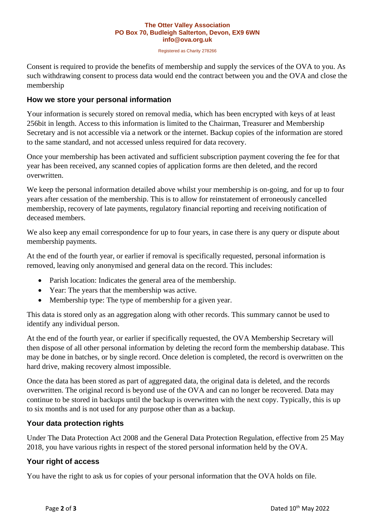#### **The Otter Valley Association PO Box 70, Budleigh Salterton, Devon, EX9 6WN info@ova.org.uk**

Registered as Charity 278266

Consent is required to provide the benefits of membership and supply the services of the OVA to you. As such withdrawing consent to process data would end the contract between you and the OVA and close the membership

# **How we store your personal information**

Your information is securely stored on removal media, which has been encrypted with keys of at least 256bit in length. Access to this information is limited to the Chairman, Treasurer and Membership Secretary and is not accessible via a network or the internet. Backup copies of the information are stored to the same standard, and not accessed unless required for data recovery.

Once your membership has been activated and sufficient subscription payment covering the fee for that year has been received, any scanned copies of application forms are then deleted, and the record overwritten.

We keep the personal information detailed above whilst your membership is on-going, and for up to four years after cessation of the membership. This is to allow for reinstatement of erroneously cancelled membership, recovery of late payments, regulatory financial reporting and receiving notification of deceased members.

We also keep any email correspondence for up to four years, in case there is any query or dispute about membership payments.

At the end of the fourth year, or earlier if removal is specifically requested, personal information is removed, leaving only anonymised and general data on the record. This includes:

- Parish location: Indicates the general area of the membership.
- Year: The years that the membership was active.
- Membership type: The type of membership for a given year.

This data is stored only as an aggregation along with other records. This summary cannot be used to identify any individual person.

At the end of the fourth year, or earlier if specifically requested, the OVA Membership Secretary will then dispose of all other personal information by deleting the record form the membership database. This may be done in batches, or by single record. Once deletion is completed, the record is overwritten on the hard drive, making recovery almost impossible.

Once the data has been stored as part of aggregated data, the original data is deleted, and the records overwritten. The original record is beyond use of the OVA and can no longer be recovered. Data may continue to be stored in backups until the backup is overwritten with the next copy. Typically, this is up to six months and is not used for any purpose other than as a backup.

# **Your data protection rights**

Under The Data Protection Act 2008 and the General Data Protection Regulation, effective from 25 May 2018, you have various rights in respect of the stored personal information held by the OVA.

# **Your right of access**

You have the right to ask us for copies of your personal information that the OVA holds on file.